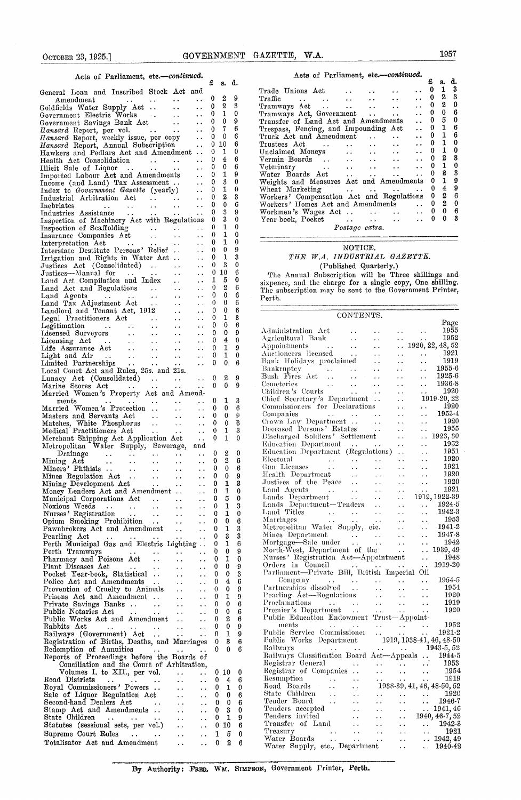| Acts of Parliament, etc.-continued.                                                                                                                                                                                    |                                                   |                      | Acts of Parliament, etc.-continued.                                                                                                                                                                                            |
|------------------------------------------------------------------------------------------------------------------------------------------------------------------------------------------------------------------------|---------------------------------------------------|----------------------|--------------------------------------------------------------------------------------------------------------------------------------------------------------------------------------------------------------------------------|
| £                                                                                                                                                                                                                      | s. d.                                             |                      | £<br>d.<br>s.<br>$\mathbf{1}$<br>3<br>0                                                                                                                                                                                        |
| General Loan and Inscribed Stock Act and<br>0                                                                                                                                                                          | 2                                                 | -9                   | Trade Unions Act<br>. .<br>$\ddot{\phantom{0}}$<br>$\boldsymbol{2}$<br>3<br>0<br>Traffic.                                                                                                                                      |
| $\ddot{\phantom{a}}$<br>Amendment<br>$\mathcal{L}(\mathbf{z},\mathbf{z})$ . The contribution of $\mathbf{z}$<br>$\mathbf{0}$<br>Goldfields Water Supply Act<br>$\ddot{\phantom{a}}$                                    | $\boldsymbol{2}$                                  | 3                    | $\begin{array}{ccccccccc}\n\cdots & \cdots & \cdots & \cdots \\ \text{s} & \text{Aet} & \cdots & \cdots & \cdots\n\end{array}$<br>$\boldsymbol{2}$<br>0<br>0<br>Tramways Act<br>$\ddot{\phantom{0}}$<br>$\ddot{\phantom{a}}$ . |
| 0<br>Government Electric Works<br>$\ddot{\phantom{0}}$                                                                                                                                                                 | 1                                                 | $\bf{0}$             | $\bf{0}$<br>6<br>0<br>Tramways Act, Government<br>$\ddotsc$<br>$\ddot{\phantom{a}}$                                                                                                                                            |
| $\bf{0}$<br>Government Savings Bank Act<br>Hansard Report, per vol.<br>Hansard Report, weekly issue, per copy<br>Hansard Report, Annual Subscription<br>                                                               | 0                                                 | 9                    | 5<br>0<br>$\mathbf 0$<br>Transfer of Land Act and Amendments<br>$\ddot{\phantom{0}}$<br>1<br>6<br>0                                                                                                                            |
| $\mathbf{0}$<br>$\sim 10$<br>$\bf{0}$                                                                                                                                                                                  | 7<br>0                                            | 6<br>6               | Trespass, Fencing, and Impounding Act<br>$\ddot{\phantom{0}}$<br>$\mathbf{1}$<br>6<br>0<br>Truck Act and Amendment<br>$\ddot{\phantom{a}}$<br>$\sim 100$ km s $^{-1}$<br>$\sim$ $\sim$                                         |
| $\bf{0}$                                                                                                                                                                                                               | 10                                                | 6                    | 0<br>1<br>$\bf{0}$<br>Trustees Act<br>$\ddot{\phantom{0}}$<br>$\Delta$ - $\Delta$ - $\Delta$ - $\Delta$<br>$\ddot{\phantom{0}}$                                                                                                |
| $\bf{0}$<br>Hawkers and Pedlars Act and Amendment                                                                                                                                                                      | 1                                                 | 0                    | $\mathbf{1}$<br>$\bf{0}$<br>$\bf{0}$<br>$\ddotsc$<br>$\sim$ $\sim$                                                                                                                                                             |
| $\Omega$<br>$\ddotsc$                                                                                                                                                                                                  | 4                                                 | 6                    | $\mathbf{2}$<br>3<br>$\bf{0}$<br>$\ddot{\phantom{0}}$<br>$\ddot{\phantom{0}}$<br>$\mathbf{1}$<br>$\bf{0}$<br>$\bf{0}$                                                                                                          |
| Illieit Sale of Liquor<br>Imported Labour Act and Amendments  0<br>Income (and Land) Tax Assessment  0                                                                                                                 | $\bf{0}$<br>1                                     | 6<br>9               | Unclaimed Moneys<br>Vermin Boards<br>Veterinary<br>Water Boards Act<br>Water Boards Act<br>$\ddot{\phantom{a}}$<br>$\ddot{\phantom{1}}$ .<br>s<br>3<br>0<br>$\sim 10^{-11}$<br>$\sim$ $\sim$                                   |
|                                                                                                                                                                                                                        | 3                                                 | 0                    | $\mathbf{1}$<br>9<br>Weights and Measures Act and Amendments<br>$\mathbf{0}$                                                                                                                                                   |
| $\mathbf{0}$<br>Index to Government Gazette (yearly)<br>$\sim 10^{-1}$                                                                                                                                                 | 1                                                 | $\Omega$             | $\overline{4}$<br>9<br>$\theta$                                                                                                                                                                                                |
| $\overline{0}$<br>$\sim$ $\sim$<br>Industrial Arbitration Act                                                                                                                                                          | $\boldsymbol{2}$                                  | 3                    | $\boldsymbol{2}$<br>6<br>Workers' Compensation Act and Regulations 0<br>$\boldsymbol{2}$<br>$\mathbf{0}$<br>$\bf{0}$                                                                                                           |
| $\theta$<br>$\Delta\Delta\phi$ and $\Delta\phi$<br>$\sim 10^{-1}$<br>Inebriates<br>and the state of the<br>$\mathbf{0}$<br>Industries Assistance<br>$\mathbf{A}$ , and $\mathbf{A}$<br>$\sim 100$<br>$\sim$ $\sim$     | $\mathbf{0}$<br>3                                 | 6<br>9               | Workers' Homes Act and Amendments<br>$\sim 100$ km s $^{-1}$<br>$\theta$<br>- 6<br>$\bf{0}$<br>$\ddotsc$                                                                                                                       |
| $\bf{0}$<br>Inspection of Machinery Act with Regulations                                                                                                                                                               | 3                                                 | $\mathbf{0}$         | $\bf{0}$<br>- 3<br>$\bf{0}$<br>Year-book, Pocket<br>and the contract of the state<br>$\ddot{\phantom{a}}$ .                                                                                                                    |
| $\mathbf{0}$<br>$\sim 10^{-1}$                                                                                                                                                                                         | 1                                                 | 0                    | Postage extra.                                                                                                                                                                                                                 |
| Inspection of Scaffolding<br>Insurance Companies Act<br>Interpretation Act<br>$\theta$<br>$\ddotsc$                                                                                                                    | 1<br>1                                            | $\bf{0}$<br>$\Omega$ |                                                                                                                                                                                                                                |
| $\mathbf{0}$<br>$\sim 10^{-11}$<br>Interstate Destitute Persons' Relief<br>$\theta$                                                                                                                                    | $\theta$                                          | 9                    | NOTICE.                                                                                                                                                                                                                        |
| $\frac{1}{\sqrt{2}}$<br>$\mathbf{0}$<br>Irrigation and Rights in Water Act                                                                                                                                             | 1                                                 | 3                    | THE W.A. INDUSTRIAL GAZETTE.                                                                                                                                                                                                   |
| $\bf{0}$<br>Justices Act (Consolidated)<br>$\sim$ $\sim$                                                                                                                                                               | 3                                                 | $\bf{0}$             | (Published Quarterly.)                                                                                                                                                                                                         |
| Justices—Manual for<br>$\sim 10^7$<br><b><i>The Committee Committee States</i></b><br>$\sim$ $\sim$                                                                                                                    | 010                                               | 6                    | The Annual Subscription will be Three shillings and                                                                                                                                                                            |
| 1<br>Land Act Compilation and Index<br>$\mathbf{0}$<br>Land Act and Regulations<br>$\ddot{\phantom{a}}$                                                                                                                | 5<br>2                                            | 0<br>6               | sixpence, and the charge for a single copy, One shilling.                                                                                                                                                                      |
| $\theta$<br>$\sim 10^{-1}$<br>$\sim$ $\sim$                                                                                                                                                                            | 0                                                 | 6                    | The subscription may be sent to the Government Printer,                                                                                                                                                                        |
| Land Agents<br>Land Tax Adjustment Act<br>$\bf{0}$<br>$\mathbf{a}^{\prime}$ , $\mathbf{a}^{\prime}$                                                                                                                    | 0                                                 | 6                    | Perth.                                                                                                                                                                                                                         |
| Landlord and Tenant Act, 1912<br>0<br>$\ddot{\phantom{0}}$                                                                                                                                                             | 0                                                 | 6                    | CONTENTS.                                                                                                                                                                                                                      |
| $\Omega$<br>$\sim$ $\sim$<br>0                                                                                                                                                                                         | 1<br>$\bf{0}$                                     | 3<br>6               | Page                                                                                                                                                                                                                           |
| $\ddotsc$<br>$\theta$<br>$\ddotsc$                                                                                                                                                                                     | 0                                                 | ŷ                    | 1955<br>Administration Act<br>Agricultural Bank<br>Appointments<br>Auctioneers licensed<br>the contract of the contract of the<br>$\mathbf{A} \cdot \mathbf{A}$ and $\mathbf{A} \cdot \mathbf{A}$                              |
| Licensed Surveyors<br>Licensing Act<br>Licensing Act<br>Life Assurance Act<br>Light and Air<br>Limited Partnerships<br>$\bf{0}$<br>$\ddot{\phantom{0}}$                                                                | 4                                                 | $\bf{0}$             | 1952<br>$\sim 10$<br>$\sim 10^{-11}$                                                                                                                                                                                           |
| 0<br>$\sim$ $\sim$                                                                                                                                                                                                     | 1                                                 | 9                    | $\ldots$ 1920, 22, 48, 52<br>1921<br>$\sim 10^{-1}$                                                                                                                                                                            |
| 0<br>$\sim$ $\sim$<br>$\bf{0}$                                                                                                                                                                                         | 1<br>$\Omega$                                     | $\bf{0}$<br>6        | $\mathbf{z}$ , $\mathbf{z}$ , $\mathbf{z}$ , $\mathbf{z}$<br>1919<br>$\ddotsc$<br>$\sim$ $\sim$                                                                                                                                |
| $\ddot{\phantom{a}}$<br>Local Court Act and Rules, 25s. and 21s.                                                                                                                                                       |                                                   |                      | Bank Holidays proclaimed<br>Bankruptcy<br>Bush Fires Act<br>1955-6<br>$\sim$ $\sim$                                                                                                                                            |
| Lunacy Act (Consolidated)<br>$\mathbf{r}$ , $\mathbf{r}$<br>$\bf{0}$                                                                                                                                                   | 2                                                 | 9                    | 1925-6<br>$\ddot{\phantom{0}}$                                                                                                                                                                                                 |
| $\theta$<br>Marine Stores Act<br><b>Carl Contract</b><br>$\sim 10^{-10}$                                                                                                                                               | $\Omega$                                          | 9                    | 1936-8<br>Cemeteries<br>Children's Courts<br>Chief Secretary's Department<br><br>$\sim$ $\sim$<br>1920                                                                                                                         |
| Married Women's Property Act and Amend-                                                                                                                                                                                | 1                                                 |                      | $\ddot{\phantom{0}}$<br>1919-20, 22                                                                                                                                                                                            |
| $\mathbf{0}$<br>ments<br>$\mathcal{L}(\mathbf{q},\mathbf{q})$ , and $\mathcal{L}(\mathbf{q},\mathbf{q})$<br>$\sim 100$<br>$\ddot{\phantom{a}}$<br>Married Women's Protection<br>$\theta$<br>$\ddotsc$<br>$\sim$ $\sim$ | $\bf{0}$                                          | 3<br>6               | Commissioners for Declarations<br>1920<br>$\mathbf{r}$                                                                                                                                                                         |
| $\Omega$<br>Masters and Servants Act<br>$\sim 10^{-10}$<br>$\sim 10^{-1}$                                                                                                                                              | $\Omega$                                          | $\Omega$             | 1953-4<br>Companies<br>Crown Law Department<br>Deceased Persons' Estates<br>Discharged Soldiers' Settlement<br><br>$\ddot{\phantom{0}}$                                                                                        |
| Matches, White Phosphorus<br>$\mathbf{0}$<br>$\ddot{\phantom{a}}$                                                                                                                                                      | 0                                                 | 6                    | 1920<br>$\ddot{\phantom{a}}$ .<br>1955                                                                                                                                                                                         |
| 0<br>Medical Practitioners Act<br><b>Contract Contract Contract</b><br>$\sim 10^{-1}$<br>$\overline{0}$                                                                                                                | 1<br>$\mathbf{1}$                                 | 3<br>$\mathbf 0$     | $\ddot{\phantom{a}}$ .<br>$\ldots$ 1923, 30                                                                                                                                                                                    |
| Merchant Shipping Act Application Act<br>$\sim 10$<br>Metropolitan Water Supply, Sewerage,<br>and                                                                                                                      |                                                   |                      | Education Department<br>1952<br>$\epsilon$ .                                                                                                                                                                                   |
| $\bf{0}$<br>Drainage<br>$\mathcal{L}(\mathbf{x})$ and $\mathcal{L}(\mathbf{x})$ and $\mathcal{L}(\mathbf{x})$<br>$\sim 10^{-10}$<br>$\sim 10^{-11}$<br>$\sim 10^{-1}$                                                  | $^{2}$                                            | $\mathbf 0$          | Education Department (Regulations)<br>1951<br>$\ddotsc$                                                                                                                                                                        |
| $\theta$<br>Mining Act<br>Miners' Phthisis<br>Mines Regulation Act<br>$\ddotsc$<br>$\sim$ $\sim$                                                                                                                       | $\overline{2}$                                    | 6                    | 1920<br>Electoral<br>$\mathcal{L}^{\mathcal{L}}$ , and the set of the set of the set of the $\mathcal{L}^{\mathcal{L}}$<br>$\ddot{\phantom{a}}$ .<br>1921                                                                      |
| $\Omega$<br>$\sim$ $\sim$<br>$\ddot{\phantom{a}}$<br>0                                                                                                                                                                 | $\bf{0}$<br>$\bf{0}$                              | 6<br>9               | Gun Licenses<br>Health Department<br>$\epsilon$ .<br>$\sim$ $\sim$<br>1920<br>$\sim$ $\sim$<br>$\ddot{\phantom{0}}$                                                                                                            |
| $\ddot{\phantom{a}}$<br>$\ddotsc$<br>Mining Development Act<br>$\bf{0}$<br>$\bullet$ $\bullet$ .                                                                                                                       | ı                                                 | 3                    | 1920<br>$\sim$ $\sim$                                                                                                                                                                                                          |
| Money Lenders Act and Amendment<br>$\mathbf 0$<br>$\sim 10^{-11}$                                                                                                                                                      | 1                                                 | $\bf{0}$             | Justices of the Peace<br>Land Agents     Lands Department<br>1921<br>$\sim$ $\sim$                                                                                                                                             |
| Municipal Corporations Act<br>$\bf{0}$<br>$\sim 10^{-11}$                                                                                                                                                              | 5                                                 | $\mathbf 0$          | 1919, 1922-39                                                                                                                                                                                                                  |
| 0<br>$\mathcal{L}(\mathcal{L})$<br>$\bf{0}$                                                                                                                                                                            | $\mathbf{1}$<br>$\mathbf{1}$                      | 3<br>$\bf{0}$        | Lands Department-Tenders<br>1924-5<br>$\sim$ $\sim$<br>$\sim 10^{-11}$<br>1942-3<br>$\sim$ $\sim$                                                                                                                              |
| $\sim$ $\sim$<br>$\bf{0}$<br>Opium Smoking Prohibition<br>$\ddot{\phantom{a}}$                                                                                                                                         | $\bf{0}$                                          | 6                    | 1953<br>$\sim$ $\sim$                                                                                                                                                                                                          |
| Pawnbrokers Act and Amendment<br>$\bf{0}$<br>$\ddot{\phantom{a}}$                                                                                                                                                      | $\mathbf{1}$                                      | $\ddot{\textbf{3}}$  | 1941-2<br>$\sim$ $\sim$                                                                                                                                                                                                        |
| $\mathbf{0}$<br>$\ddotsc$                                                                                                                                                                                              | 3                                                 | 3                    | 1947-8<br>$\ddot{\phantom{a}}$                                                                                                                                                                                                 |
| Perth Municipal Gas and Electric Lighting<br>$\mathbf{0}$<br>$\mathbf{0}$                                                                                                                                              | $\mathbf{1}$<br>$\bf{0}$                          | 6<br>9               | 1942<br>$\sim$ $\sim$<br>North-West, Department of the<br>$\ldots 1939, 49$                                                                                                                                                    |
| Perth Tramways<br>Pharmacy and Poisons Act<br>$\sim 10^{-1}$<br>$\mathbf{0}$<br>$\ddotsc$                                                                                                                              | 1                                                 | $\bf{0}$             | Nurses' Registration Act-Appointment<br>1948<br>$\sim$ .                                                                                                                                                                       |
| $\mathbf{0}$<br>Plant Diseases Act<br>$\mathcal{L}^{\mathcal{L}}$ , where $\mathcal{L}^{\mathcal{L}}$ and $\mathcal{L}^{\mathcal{L}}$ , where $\mathcal{L}^{\mathcal{L}}$<br>$\sim 10^{-1}$                            | $\mathbf{0}$                                      | 9                    | 1919-20                                                                                                                                                                                                                        |
| Pocket Year-book, Statistical<br>$\sim 10^{-1}$                                                                                                                                                                        | $\mathbf{0}$<br>$\bf{0}$                          | 3                    |                                                                                                                                                                                                                                |
| Police Act and Amendments<br>$\sim 10^{-1}$                                                                                                                                                                            | $\theta$<br>4<br>$\bf{0}$                         | 6                    | Company<br>Partnerships dissolved<br>Pearling Act—Regulations<br>Proclamations<br>Proclamations<br>Premier's Department<br>Premier's Department<br>Premier's Department<br>1954-5<br>1954                                      |
| Prevention of Cruelty to Animals<br>$\sim 10^7$<br>Prisons Act and Amendment<br>$\sim 10^{-11}$                                                                                                                        | $\mathbf{0}$<br>$\bf{0}$<br>$\mathbf{1}$          | 9<br>9               | 1920                                                                                                                                                                                                                           |
| $\sim 100$                                                                                                                                                                                                             | $\mathbf{0}$<br>$\bf{0}$                          | 6                    | 1919                                                                                                                                                                                                                           |
| $\sim 100$                                                                                                                                                                                                             | $\theta$<br>$\mathbf{0}$                          | 6                    | 1920                                                                                                                                                                                                                           |
| Public Works Act and Amendment                                                                                                                                                                                         | $\bf{0}$<br>$\boldsymbol{2}$                      | 6                    | Public Education Endowment Trust-Appoint-<br>التواريخ وأنقو والمتعاون والمتعاون والمتعاون<br>1952<br>ments                                                                                                                     |
| Rabbits Act<br>Railways (Government) Act                                                                                                                                                                               | $\mathbf{0}$<br>$\mathbf{0}$<br>1<br>$\mathbf{0}$ | 9<br>9               |                                                                                                                                                                                                                                |
| Registration of Births, Deaths, and Marriages 0                                                                                                                                                                        | 3                                                 | 6                    |                                                                                                                                                                                                                                |
| Redemption of Annuities 0                                                                                                                                                                                              | $\theta$                                          | 6                    | Public Service Commissioner<br>Public Works Department<br>1919, 1938-41, 46, 48-50<br>Railways<br>1943-5, 52<br>1943-5, 52                                                                                                     |
| Reports of Proceedings before the Boards of                                                                                                                                                                            |                                                   |                      | Railways Classification Board Act-Appeals . 1944-5                                                                                                                                                                             |
| Conciliation and the Court of Arbitration,<br>Volumes I. to XII., per vol.                                                                                                                                             | $0\,10$                                           | $\bf{0}$             |                                                                                                                                                                                                                                |
| $\sim$ $\sim$<br>Road Districts<br>$\sim 100$ km s $^{-1}$<br>$\ddotsc$                                                                                                                                                | $\bf{0}$<br>4                                     | - 6                  |                                                                                                                                                                                                                                |
| $\ddotsc$                                                                                                                                                                                                              | $\mathbf{I}$<br>0                                 | $\bf{0}$             |                                                                                                                                                                                                                                |
| Royal Commissioners' Powers<br>Sale of Liquor Regulation Act<br>$\sim$ $\sim$                                                                                                                                          | $\bf{0}$<br>0                                     | 6                    |                                                                                                                                                                                                                                |
| Second-hand Dealers Act<br>$\sim 100$ km $^{-1}$<br>$\sim$ $\sim$                                                                                                                                                      | $\mathbf 0$<br>$\mathbf 0$<br>3                   | 6                    |                                                                                                                                                                                                                                |
| Stamp Act and Amendments<br>$\sim 100$ km s $^{-1}$<br>$\ddot{\phantom{a}}$ .<br>$\ddot{\phantom{a}}$ .                                                                                                                | $\bf{0}$<br>$\bf{0}$<br>1                         | $\bf{0}$<br>9        |                                                                                                                                                                                                                                |
| Statutes (sessional sets, per vol.)<br>$\mathbf{r}$ .                                                                                                                                                                  | 010                                               | 6                    |                                                                                                                                                                                                                                |
| Supreme Court Rules<br>$\sim$ $\sim$                                                                                                                                                                                   | 1<br>5                                            | $\bf{0}$             |                                                                                                                                                                                                                                |
| Totalisator Act and Amendment<br>$\ddot{\phantom{a}}$                                                                                                                                                                  | $\boldsymbol{2}$<br>0                             | 6                    |                                                                                                                                                                                                                                |

| Остовев 23, 1925.]                                                                                                   |                      |          |                |              | GOVERNMENT GAZETTE, W.A.                                                                                                                                      | 1957           |                          |
|----------------------------------------------------------------------------------------------------------------------|----------------------|----------|----------------|--------------|---------------------------------------------------------------------------------------------------------------------------------------------------------------|----------------|--------------------------|
| Acts of Parliament, etc.-continued.                                                                                  |                      | £        | s. d.          |              | Acts of Parliament, etc.--continued.<br>£                                                                                                                     | d.<br>8.       |                          |
| eneral Loan and Inscribed Stock Act and                                                                              |                      |          |                |              | 0<br>Trade Unions Act                                                                                                                                         | - 3<br>1       |                          |
| $\mathbf{r}$ .<br>Amendment<br>$\mathbf{a}$ , $\mathbf{a}$ , $\mathbf{a}$ , $\mathbf{a}$<br><b>Contract Contract</b> | $\ddot{\phantom{1}}$ | 0        | 2              | 9            | 0<br>Traffic<br>$\cdot$ $\cdot$<br>$\ddotsc$<br>$\ddot{\phantom{1}}$<br>$\cdot$ .<br>$\mathbf{r}$ , and the state of the state $\mathbf{r}$                   | 2              | 3                        |
| oldfields Water Supply Act<br>$\ddot{\phantom{a}}$                                                                   |                      | 0        | 2              | 3            | 0<br>Tramways Act<br>$\ddotsc$<br>$\ddot{\phantom{a}}$<br>$\ddotsc$<br>. .<br>$\ddot{\phantom{a}}$                                                            | 2              | $\bf{0}$                 |
| Electric Works<br>$\ddot{\phantom{0}}$                                                                               | $\ddot{\phantom{0}}$ | 0        | $\mathbf{1}$   | $\bf{0}$     | 0<br>Tramways Act, Government<br>$\ddot{\phantom{a}}$<br>$\ddot{\phantom{a}}$<br>$\ddot{\phantom{0}}$                                                         | 0              | -6                       |
| overnment Savings Bank Act<br>$\ddot{\phantom{a}}$                                                                   | $\ddot{\phantom{a}}$ | 0        | 0              | 9            | 0<br>Transfer of Land Act and Amendments                                                                                                                      | 5              | $\mathbf{0}$             |
| <i>lansard</i> Report, per vol.<br>$\ddotsc$<br>$\sim 100$ km s $^{-1}$                                              | $\ddot{\phantom{0}}$ | 0        |                | 6            | $\bf{0}$<br>Trespass, Fencing, and Impounding Act<br>$\ddot{\phantom{a}}$                                                                                     | 1              | $\overline{6}$           |
| <i>lansard</i> Report, weekly issue, per copy                                                                        | $\ddot{\phantom{0}}$ | 0        | 0              | 6            | 0<br>$\mathbf{r}$<br>Truck Act and Amendment<br>$\ddotsc$<br>$\ddot{\phantom{0}}$                                                                             | 1              | $-6$                     |
| Iansard Report, Annual Subscription                                                                                  | $\ddot{\phantom{a}}$ | $\Omega$ | 10             | 6            | 0<br>Trustees Act                                                                                                                                             | 1              | $\bf{0}$                 |
| Iawkers and Pedlars Act and Amendment                                                                                |                      | 0        | 1              | 0            | $\mathbf{0}$<br>$\mathbf{L}(\mathbf{X})$ and<br>Unclaimed Moneys<br>$\sim$                                                                                    | $\mathbf{1}$   | $\bf{0}$                 |
| Iealth Act Consolidation<br>$\ddot{\phantom{a}}$<br>and the con-                                                     | $\ddot{\phantom{0}}$ | $\Omega$ | 4              | 6            | 0<br>Vermin Boards<br>$\ddot{\phantom{0}}$<br>$\cdot$ $\cdot$                                                                                                 | 2              | $\boldsymbol{3}$         |
| llicit Sale of Liquor<br>$\mathbf{r}$ . The set of $\mathbf{r}$<br><b>Contract Contract</b>                          | $\ddot{\phantom{1}}$ | $\bf{0}$ | 0              | 6            | 0<br>Veterinary<br>$\ddot{\phantom{a}}$<br>$\ddot{\phantom{a}}$<br><b><i>Committee State State State State State</i></b><br>$\ddotsc$<br>$\ddot{\phantom{0}}$ | $\mathbf{1}$   | $\mathbf{0}$             |
| mported Labour Act and Amendments                                                                                    | $\ddot{\phantom{0}}$ | $\theta$ | 1              | 9            | 0<br>Water Boards Act<br>$\ddot{\phantom{0}}$<br>$\ddot{\phantom{0}}$<br>$\sim 10^{-1}$<br>$\ddot{\phantom{0}}$                                               | 8              | $\boldsymbol{3}$         |
| ncome (and Land) Tax Assessment                                                                                      | $\ddot{\phantom{0}}$ | $^{0}$   | 3              | $\bf{0}$     | 0<br>Weights and Measures Act and Amendments                                                                                                                  | $\mathbf{1}$   | 9                        |
| ndex to Government Gazette (yearly)                                                                                  | $\ddot{\phantom{0}}$ | $\bf{0}$ | 1              | $\mathbf{0}$ | $\Omega$<br>Wheat Marketing<br>$\mathbf{z}$ , and $\mathbf{z}$ , and $\mathbf{z}$<br>$\ddot{\phantom{0}}$<br>$\ddot{\phantom{0}}$                             | $\overline{4}$ | 9                        |
| ndustrial Arbitration Act<br>$\sim$                                                                                  | $\ddot{\phantom{1}}$ | $\bf{0}$ | $\overline{2}$ | 3            | $\bf{0}$<br>Workers' Compensation Act and Regulations                                                                                                         | $2\quad 6$     |                          |
| nebriates<br>$\sim$ $\sim$<br>All Antonio College<br>$\sim 10^{-11}$<br>$\sim 10^{-11}$                              | . .                  | $\theta$ | $\mathbf{0}$   | -6           | $\Omega$<br>Workers' Homes Act and Amendments<br>$\ddot{\phantom{a}}$                                                                                         | $2^{\circ}$    | $\overline{\phantom{0}}$ |
| ndustries Assistance<br>$\ddotsc$<br>$\sim$ $\sim$<br>$\cdot$ .                                                      | $\ddot{\phantom{1}}$ |          | 3              | 9            | $\bf{0}$<br>Workmen's Wages Act<br>$\mathbf{r}$ , $\mathbf{r}$ , $\mathbf{r}$ , $\mathbf{r}$<br>$\ddot{\phantom{a}}$<br>$\ddot{\phantom{0}}$                  | 0 <sub>0</sub> |                          |
| inspection of Machinery Act with Regulations                                                                         |                      | $\bf{0}$ | 3              | $\theta$     | 0<br>Year-book, Pocket<br>$\ddot{\phantom{a}}$<br>$\ddot{\phantom{0}}$                                                                                        | $\Omega$       | 3                        |
| nspection of Scaffolding<br>$\ddot{\phantom{a}}$                                                                     |                      | $\theta$ | 1              | $\theta$     | Postage extra.                                                                                                                                                |                |                          |
|                                                                                                                      |                      | $\sim$   |                |              |                                                                                                                                                               |                |                          |

### $\rm NOTICE.$ THE W.A. INDUSTRIAL GAZETTE.

#### CONTENTS.

| 1955<br>$\bf{0}$<br>$\theta$<br>9<br>$\sim 10^{-1}$<br>1952<br>4<br>$\theta$<br>$\Omega$<br>$\sim 10^{-1}$<br>$\ldots$ 1920, 22, 48, 52<br>$\mathbf{1}$<br>-9<br>$\mathbf{0}$<br>$\sim 10^{-1}$<br>$\cdots$ $\cdots$ 1921<br>$\mathbf{1}$<br>$\mathbf{0}$<br>$\bf{0}$<br>$\sim 10^{-1}$<br>1919<br>$\Omega$<br>$\Omega$<br>6<br>$\sim 10^7$<br>1955-6<br>1 Court Act and Rules, 25s. and 21s.<br>1925-6<br>2<br>9<br>$\begin{array}{ccccccccc}\n\text{key} & \text{Act} & (\text{Consolidated}) & \dots & \dots & \dots & 0 \\ \text{ne} & \text{Stores} & \text{Act} & \dots & \dots & \dots & \dots & 0\n\end{array}$<br>Bush Fires Act<br>Cemeteries<br>Children's Courts<br>Children's Courts<br>Children's Courts<br>Children's Courts<br>Compaints<br>Commissioners for Declarations<br>Companies<br>Companies<br>Companies<br>Companies<br>Companies<br>Companies<br>Companies<br>$\theta$<br>9<br>ried Women's Property Act and Amend-<br>$\mathbf{1}$<br>3<br>$\ddots$ 0<br>ments<br>ied Women's Protection<br>6<br>$\theta$<br>$\Omega$<br>$\sim 10^{-11}$<br>$\Omega$<br>$\Omega$<br>$\Omega$<br>ers and Servants Act<br>thes, White Phosphorus<br>$\sim 10^{-11}$<br>$\overline{6}$<br>$\mathbf{0}$<br>$\ldots$ 0<br>ical Practitioners Act  0<br>1<br>3<br>$\mathcal{L} = \mathcal{L}$<br>chant Shipping Act Application Act<br>$\Omega$<br>-1<br>$\theta$<br>opolitan Water Supply, Sewerage, and<br>$\theta$<br>$\boldsymbol{2}$<br>$\mathbf 0$<br>$\begin{tabular}{l c c c} \textbf{Education Department (Regulations) } & \multicolumn{1}{c}{1951} \\ \textbf{Electronal} & \multicolumn{1}{c}{1092} \\ \textbf{Head the Department} & \multicolumn{1}{c}{1920} \\ \textbf{Intale the Parameter} & \multicolumn{1}{c}{1921} \\ \textbf{Land Agents} & \multicolumn{1}{c}{1921} \\ \textbf{Land Agents} & \multicolumn{1}{c}{1922} \\ \textbf{Land Agents} & \multicolumn{1}{c}{1922} \\ \textbf{Land Agents} & \multicolumn{1}{c}{1923} \\ \textbf{Land Agents}$<br>$\boldsymbol{2}$<br>6<br>$\theta$<br>$\theta$<br>6<br>$\Omega$<br>9<br>$\theta$<br>$\bf{0}$<br>3<br>$\mathbf{1}$<br>$\bf{0}$<br>$\mathbf{1}$<br>$\bf{0}$<br>$\theta$<br>5<br>$\bf{0}$<br>icipal Corporations Act<br>$\mathbf{0}$<br>$\mathbf{A}$<br>3<br>0<br>$\mathbf{1}$<br>ious Weeds<br>ses' Registration<br>$\sim$<br>$\mathbf{1}$<br>$\theta$<br>$\theta$<br>$\bf{0}$<br>6<br>$\Omega$<br>$\mathbf{3}$<br>0<br>1<br>المحادث المحادث والمنافع والمحفوظ<br>3<br>3<br>$\Omega$<br>ling Act:<br>h Municipal Gas and Electric Lighting<br>$\mathbf{1}$<br>6<br>$\theta$<br>$\bf{0}$<br>9<br>$\mathbf{0}$<br>h Tramways<br>$\mathbf{1}$<br>$\theta$<br>$\mathbf{0}$<br>$\mathbf{0}$<br>9<br>t Diseases Act (1998).<br>Ket Year-book, Statistical (1998).<br>$\mathbf{0}$<br>$\bf{0}$<br>3<br>$\bf{0}$<br>Partiament—Private Bill, British Imperial Oil<br>Company (1964-5)<br>Partnerships dissolved (1964-10)<br>Pearling Act—Regulations<br>Proclamations (1972)<br>Proclamations (1972)<br>Pearling Act—Regulations (1972)<br>Pearling Act—Regulat<br>$\overline{4}$<br>6<br>$\theta$<br>$\bf{0}$<br>9<br>$\theta$<br>$\mathbf{1}$<br>9<br>$\bf{0}$<br>$\mathbf{0}$<br>6<br>$\bf{0}$<br>$\theta$<br>$\bf{0}$<br>6<br>$\boldsymbol{2}$<br>6<br>$\mathbf{0}$<br>$\bf{0}$<br>9<br>$_{\rm bits \; Act}$<br>$\mathcal{L}^{\mathcal{L}}$ , where $\mathcal{L}^{\mathcal{L}}$ is the contribution of the contribution of $\mathcal{L}^{\mathcal{L}}$<br>$\theta$<br>ways (Government) Act<br>$\mathbf{1}$<br>$\mathbf{9}$<br>$\bf{0}$<br>$\overline{\mathbf{3}}$<br>istration of Births, Deaths, and Marriages 0<br>6<br>$\Omega$<br>-6<br>orts of Proceedings before the Boards of<br>Conciliation and the Court of Arbitration,<br>Volumes I. to XII., per vol.<br>0100<br>$\sim$<br>$\theta$<br>$\overline{4}$<br>6<br>$\ddotsc$<br>$\mathbf{I}$<br>$\theta$<br>$\mathbf{0}$<br>$\ddotsc$<br>6<br>$\cdots$ 0<br>$\bf{0}$<br>$\mathbf{0}$<br>6<br>$\mathbf{0}$<br>$\sim 10^{-11}$<br>$\mathbf{0}$<br>3<br>$\Omega$<br>$\mathbf{A}$ .<br>$\cdots$ 0 1<br>e Children<br>tutes (sessional sets, per vol.)<br>9<br>010<br>6<br>$\ddot{\phantom{a}}$<br>reme Court Rules<br>alisator Act and Amendment<br>5<br>$\mathbf{1}$<br>$\bf{0}$<br>$\ddot{\phantom{a}}$<br>$\boldsymbol{2}$<br>0<br>6<br>$\ddot{\phantom{a}}$ |           |              |          |   |  | Page |
|-----------------------------------------------------------------------------------------------------------------------------------------------------------------------------------------------------------------------------------------------------------------------------------------------------------------------------------------------------------------------------------------------------------------------------------------------------------------------------------------------------------------------------------------------------------------------------------------------------------------------------------------------------------------------------------------------------------------------------------------------------------------------------------------------------------------------------------------------------------------------------------------------------------------------------------------------------------------------------------------------------------------------------------------------------------------------------------------------------------------------------------------------------------------------------------------------------------------------------------------------------------------------------------------------------------------------------------------------------------------------------------------------------------------------------------------------------------------------------------------------------------------------------------------------------------------------------------------------------------------------------------------------------------------------------------------------------------------------------------------------------------------------------------------------------------------------------------------------------------------------------------------------------------------------------------------------------------------------------------------------------------------------------------------------------------------------------------------------------------------------------------------------------------------------------------------------------------------------------------------------------------------------------------------------------------------------------------------------------------------------------------------------------------------------------------------------------------------------------------------------------------------------------------------------------------------------------------------------------------------------------------------------------------------------------------------------------------------------------------------------------------------------------------------------------------------------------------------------------------------------------------------------------------------------------------------------------------------------------------------------------------------------------------------------------------------------------------------------------------------------------------------------------------------------------------------------------------------------------------------------------------------------------------------------------------------------------------------------------------------------------------------------------------------------------------------------------------------------------------------------------------------------------------------------------------------------------------------------------------------------------------------------------------------------------------------------------------------------------------------------------------------------------------------------------------------------------------------------------------------------------------------------------------------------------------------------------------------------------------------------------------------------------------------------------------------------------------------------------------------------------------------------------------------------------------------------------------------------------------------------------------------------------------------------------|-----------|--------------|----------|---|--|------|
|                                                                                                                                                                                                                                                                                                                                                                                                                                                                                                                                                                                                                                                                                                                                                                                                                                                                                                                                                                                                                                                                                                                                                                                                                                                                                                                                                                                                                                                                                                                                                                                                                                                                                                                                                                                                                                                                                                                                                                                                                                                                                                                                                                                                                                                                                                                                                                                                                                                                                                                                                                                                                                                                                                                                                                                                                                                                                                                                                                                                                                                                                                                                                                                                                                                                                                                                                                                                                                                                                                                                                                                                                                                                                                                                                                                                                                                                                                                                                                                                                                                                                                                                                                                                                                                                                                     | $\ddotsc$ | $\mathbf{0}$ | $\bf{0}$ | 6 |  |      |
|                                                                                                                                                                                                                                                                                                                                                                                                                                                                                                                                                                                                                                                                                                                                                                                                                                                                                                                                                                                                                                                                                                                                                                                                                                                                                                                                                                                                                                                                                                                                                                                                                                                                                                                                                                                                                                                                                                                                                                                                                                                                                                                                                                                                                                                                                                                                                                                                                                                                                                                                                                                                                                                                                                                                                                                                                                                                                                                                                                                                                                                                                                                                                                                                                                                                                                                                                                                                                                                                                                                                                                                                                                                                                                                                                                                                                                                                                                                                                                                                                                                                                                                                                                                                                                                                                                     |           |              |          |   |  |      |
|                                                                                                                                                                                                                                                                                                                                                                                                                                                                                                                                                                                                                                                                                                                                                                                                                                                                                                                                                                                                                                                                                                                                                                                                                                                                                                                                                                                                                                                                                                                                                                                                                                                                                                                                                                                                                                                                                                                                                                                                                                                                                                                                                                                                                                                                                                                                                                                                                                                                                                                                                                                                                                                                                                                                                                                                                                                                                                                                                                                                                                                                                                                                                                                                                                                                                                                                                                                                                                                                                                                                                                                                                                                                                                                                                                                                                                                                                                                                                                                                                                                                                                                                                                                                                                                                                                     |           |              |          |   |  |      |
|                                                                                                                                                                                                                                                                                                                                                                                                                                                                                                                                                                                                                                                                                                                                                                                                                                                                                                                                                                                                                                                                                                                                                                                                                                                                                                                                                                                                                                                                                                                                                                                                                                                                                                                                                                                                                                                                                                                                                                                                                                                                                                                                                                                                                                                                                                                                                                                                                                                                                                                                                                                                                                                                                                                                                                                                                                                                                                                                                                                                                                                                                                                                                                                                                                                                                                                                                                                                                                                                                                                                                                                                                                                                                                                                                                                                                                                                                                                                                                                                                                                                                                                                                                                                                                                                                                     |           |              |          |   |  |      |
|                                                                                                                                                                                                                                                                                                                                                                                                                                                                                                                                                                                                                                                                                                                                                                                                                                                                                                                                                                                                                                                                                                                                                                                                                                                                                                                                                                                                                                                                                                                                                                                                                                                                                                                                                                                                                                                                                                                                                                                                                                                                                                                                                                                                                                                                                                                                                                                                                                                                                                                                                                                                                                                                                                                                                                                                                                                                                                                                                                                                                                                                                                                                                                                                                                                                                                                                                                                                                                                                                                                                                                                                                                                                                                                                                                                                                                                                                                                                                                                                                                                                                                                                                                                                                                                                                                     |           |              |          |   |  |      |
|                                                                                                                                                                                                                                                                                                                                                                                                                                                                                                                                                                                                                                                                                                                                                                                                                                                                                                                                                                                                                                                                                                                                                                                                                                                                                                                                                                                                                                                                                                                                                                                                                                                                                                                                                                                                                                                                                                                                                                                                                                                                                                                                                                                                                                                                                                                                                                                                                                                                                                                                                                                                                                                                                                                                                                                                                                                                                                                                                                                                                                                                                                                                                                                                                                                                                                                                                                                                                                                                                                                                                                                                                                                                                                                                                                                                                                                                                                                                                                                                                                                                                                                                                                                                                                                                                                     |           |              |          |   |  |      |
|                                                                                                                                                                                                                                                                                                                                                                                                                                                                                                                                                                                                                                                                                                                                                                                                                                                                                                                                                                                                                                                                                                                                                                                                                                                                                                                                                                                                                                                                                                                                                                                                                                                                                                                                                                                                                                                                                                                                                                                                                                                                                                                                                                                                                                                                                                                                                                                                                                                                                                                                                                                                                                                                                                                                                                                                                                                                                                                                                                                                                                                                                                                                                                                                                                                                                                                                                                                                                                                                                                                                                                                                                                                                                                                                                                                                                                                                                                                                                                                                                                                                                                                                                                                                                                                                                                     |           |              |          |   |  |      |
|                                                                                                                                                                                                                                                                                                                                                                                                                                                                                                                                                                                                                                                                                                                                                                                                                                                                                                                                                                                                                                                                                                                                                                                                                                                                                                                                                                                                                                                                                                                                                                                                                                                                                                                                                                                                                                                                                                                                                                                                                                                                                                                                                                                                                                                                                                                                                                                                                                                                                                                                                                                                                                                                                                                                                                                                                                                                                                                                                                                                                                                                                                                                                                                                                                                                                                                                                                                                                                                                                                                                                                                                                                                                                                                                                                                                                                                                                                                                                                                                                                                                                                                                                                                                                                                                                                     |           |              |          |   |  |      |
|                                                                                                                                                                                                                                                                                                                                                                                                                                                                                                                                                                                                                                                                                                                                                                                                                                                                                                                                                                                                                                                                                                                                                                                                                                                                                                                                                                                                                                                                                                                                                                                                                                                                                                                                                                                                                                                                                                                                                                                                                                                                                                                                                                                                                                                                                                                                                                                                                                                                                                                                                                                                                                                                                                                                                                                                                                                                                                                                                                                                                                                                                                                                                                                                                                                                                                                                                                                                                                                                                                                                                                                                                                                                                                                                                                                                                                                                                                                                                                                                                                                                                                                                                                                                                                                                                                     |           |              |          |   |  |      |
|                                                                                                                                                                                                                                                                                                                                                                                                                                                                                                                                                                                                                                                                                                                                                                                                                                                                                                                                                                                                                                                                                                                                                                                                                                                                                                                                                                                                                                                                                                                                                                                                                                                                                                                                                                                                                                                                                                                                                                                                                                                                                                                                                                                                                                                                                                                                                                                                                                                                                                                                                                                                                                                                                                                                                                                                                                                                                                                                                                                                                                                                                                                                                                                                                                                                                                                                                                                                                                                                                                                                                                                                                                                                                                                                                                                                                                                                                                                                                                                                                                                                                                                                                                                                                                                                                                     |           |              |          |   |  |      |
|                                                                                                                                                                                                                                                                                                                                                                                                                                                                                                                                                                                                                                                                                                                                                                                                                                                                                                                                                                                                                                                                                                                                                                                                                                                                                                                                                                                                                                                                                                                                                                                                                                                                                                                                                                                                                                                                                                                                                                                                                                                                                                                                                                                                                                                                                                                                                                                                                                                                                                                                                                                                                                                                                                                                                                                                                                                                                                                                                                                                                                                                                                                                                                                                                                                                                                                                                                                                                                                                                                                                                                                                                                                                                                                                                                                                                                                                                                                                                                                                                                                                                                                                                                                                                                                                                                     |           |              |          |   |  |      |
|                                                                                                                                                                                                                                                                                                                                                                                                                                                                                                                                                                                                                                                                                                                                                                                                                                                                                                                                                                                                                                                                                                                                                                                                                                                                                                                                                                                                                                                                                                                                                                                                                                                                                                                                                                                                                                                                                                                                                                                                                                                                                                                                                                                                                                                                                                                                                                                                                                                                                                                                                                                                                                                                                                                                                                                                                                                                                                                                                                                                                                                                                                                                                                                                                                                                                                                                                                                                                                                                                                                                                                                                                                                                                                                                                                                                                                                                                                                                                                                                                                                                                                                                                                                                                                                                                                     |           |              |          |   |  |      |
|                                                                                                                                                                                                                                                                                                                                                                                                                                                                                                                                                                                                                                                                                                                                                                                                                                                                                                                                                                                                                                                                                                                                                                                                                                                                                                                                                                                                                                                                                                                                                                                                                                                                                                                                                                                                                                                                                                                                                                                                                                                                                                                                                                                                                                                                                                                                                                                                                                                                                                                                                                                                                                                                                                                                                                                                                                                                                                                                                                                                                                                                                                                                                                                                                                                                                                                                                                                                                                                                                                                                                                                                                                                                                                                                                                                                                                                                                                                                                                                                                                                                                                                                                                                                                                                                                                     |           |              |          |   |  |      |
|                                                                                                                                                                                                                                                                                                                                                                                                                                                                                                                                                                                                                                                                                                                                                                                                                                                                                                                                                                                                                                                                                                                                                                                                                                                                                                                                                                                                                                                                                                                                                                                                                                                                                                                                                                                                                                                                                                                                                                                                                                                                                                                                                                                                                                                                                                                                                                                                                                                                                                                                                                                                                                                                                                                                                                                                                                                                                                                                                                                                                                                                                                                                                                                                                                                                                                                                                                                                                                                                                                                                                                                                                                                                                                                                                                                                                                                                                                                                                                                                                                                                                                                                                                                                                                                                                                     |           |              |          |   |  |      |
|                                                                                                                                                                                                                                                                                                                                                                                                                                                                                                                                                                                                                                                                                                                                                                                                                                                                                                                                                                                                                                                                                                                                                                                                                                                                                                                                                                                                                                                                                                                                                                                                                                                                                                                                                                                                                                                                                                                                                                                                                                                                                                                                                                                                                                                                                                                                                                                                                                                                                                                                                                                                                                                                                                                                                                                                                                                                                                                                                                                                                                                                                                                                                                                                                                                                                                                                                                                                                                                                                                                                                                                                                                                                                                                                                                                                                                                                                                                                                                                                                                                                                                                                                                                                                                                                                                     |           |              |          |   |  |      |
|                                                                                                                                                                                                                                                                                                                                                                                                                                                                                                                                                                                                                                                                                                                                                                                                                                                                                                                                                                                                                                                                                                                                                                                                                                                                                                                                                                                                                                                                                                                                                                                                                                                                                                                                                                                                                                                                                                                                                                                                                                                                                                                                                                                                                                                                                                                                                                                                                                                                                                                                                                                                                                                                                                                                                                                                                                                                                                                                                                                                                                                                                                                                                                                                                                                                                                                                                                                                                                                                                                                                                                                                                                                                                                                                                                                                                                                                                                                                                                                                                                                                                                                                                                                                                                                                                                     |           |              |          |   |  |      |
|                                                                                                                                                                                                                                                                                                                                                                                                                                                                                                                                                                                                                                                                                                                                                                                                                                                                                                                                                                                                                                                                                                                                                                                                                                                                                                                                                                                                                                                                                                                                                                                                                                                                                                                                                                                                                                                                                                                                                                                                                                                                                                                                                                                                                                                                                                                                                                                                                                                                                                                                                                                                                                                                                                                                                                                                                                                                                                                                                                                                                                                                                                                                                                                                                                                                                                                                                                                                                                                                                                                                                                                                                                                                                                                                                                                                                                                                                                                                                                                                                                                                                                                                                                                                                                                                                                     |           |              |          |   |  |      |
|                                                                                                                                                                                                                                                                                                                                                                                                                                                                                                                                                                                                                                                                                                                                                                                                                                                                                                                                                                                                                                                                                                                                                                                                                                                                                                                                                                                                                                                                                                                                                                                                                                                                                                                                                                                                                                                                                                                                                                                                                                                                                                                                                                                                                                                                                                                                                                                                                                                                                                                                                                                                                                                                                                                                                                                                                                                                                                                                                                                                                                                                                                                                                                                                                                                                                                                                                                                                                                                                                                                                                                                                                                                                                                                                                                                                                                                                                                                                                                                                                                                                                                                                                                                                                                                                                                     |           |              |          |   |  |      |
|                                                                                                                                                                                                                                                                                                                                                                                                                                                                                                                                                                                                                                                                                                                                                                                                                                                                                                                                                                                                                                                                                                                                                                                                                                                                                                                                                                                                                                                                                                                                                                                                                                                                                                                                                                                                                                                                                                                                                                                                                                                                                                                                                                                                                                                                                                                                                                                                                                                                                                                                                                                                                                                                                                                                                                                                                                                                                                                                                                                                                                                                                                                                                                                                                                                                                                                                                                                                                                                                                                                                                                                                                                                                                                                                                                                                                                                                                                                                                                                                                                                                                                                                                                                                                                                                                                     |           |              |          |   |  |      |
|                                                                                                                                                                                                                                                                                                                                                                                                                                                                                                                                                                                                                                                                                                                                                                                                                                                                                                                                                                                                                                                                                                                                                                                                                                                                                                                                                                                                                                                                                                                                                                                                                                                                                                                                                                                                                                                                                                                                                                                                                                                                                                                                                                                                                                                                                                                                                                                                                                                                                                                                                                                                                                                                                                                                                                                                                                                                                                                                                                                                                                                                                                                                                                                                                                                                                                                                                                                                                                                                                                                                                                                                                                                                                                                                                                                                                                                                                                                                                                                                                                                                                                                                                                                                                                                                                                     |           |              |          |   |  |      |
|                                                                                                                                                                                                                                                                                                                                                                                                                                                                                                                                                                                                                                                                                                                                                                                                                                                                                                                                                                                                                                                                                                                                                                                                                                                                                                                                                                                                                                                                                                                                                                                                                                                                                                                                                                                                                                                                                                                                                                                                                                                                                                                                                                                                                                                                                                                                                                                                                                                                                                                                                                                                                                                                                                                                                                                                                                                                                                                                                                                                                                                                                                                                                                                                                                                                                                                                                                                                                                                                                                                                                                                                                                                                                                                                                                                                                                                                                                                                                                                                                                                                                                                                                                                                                                                                                                     |           |              |          |   |  |      |
|                                                                                                                                                                                                                                                                                                                                                                                                                                                                                                                                                                                                                                                                                                                                                                                                                                                                                                                                                                                                                                                                                                                                                                                                                                                                                                                                                                                                                                                                                                                                                                                                                                                                                                                                                                                                                                                                                                                                                                                                                                                                                                                                                                                                                                                                                                                                                                                                                                                                                                                                                                                                                                                                                                                                                                                                                                                                                                                                                                                                                                                                                                                                                                                                                                                                                                                                                                                                                                                                                                                                                                                                                                                                                                                                                                                                                                                                                                                                                                                                                                                                                                                                                                                                                                                                                                     |           |              |          |   |  |      |
|                                                                                                                                                                                                                                                                                                                                                                                                                                                                                                                                                                                                                                                                                                                                                                                                                                                                                                                                                                                                                                                                                                                                                                                                                                                                                                                                                                                                                                                                                                                                                                                                                                                                                                                                                                                                                                                                                                                                                                                                                                                                                                                                                                                                                                                                                                                                                                                                                                                                                                                                                                                                                                                                                                                                                                                                                                                                                                                                                                                                                                                                                                                                                                                                                                                                                                                                                                                                                                                                                                                                                                                                                                                                                                                                                                                                                                                                                                                                                                                                                                                                                                                                                                                                                                                                                                     |           |              |          |   |  |      |
|                                                                                                                                                                                                                                                                                                                                                                                                                                                                                                                                                                                                                                                                                                                                                                                                                                                                                                                                                                                                                                                                                                                                                                                                                                                                                                                                                                                                                                                                                                                                                                                                                                                                                                                                                                                                                                                                                                                                                                                                                                                                                                                                                                                                                                                                                                                                                                                                                                                                                                                                                                                                                                                                                                                                                                                                                                                                                                                                                                                                                                                                                                                                                                                                                                                                                                                                                                                                                                                                                                                                                                                                                                                                                                                                                                                                                                                                                                                                                                                                                                                                                                                                                                                                                                                                                                     |           |              |          |   |  |      |
|                                                                                                                                                                                                                                                                                                                                                                                                                                                                                                                                                                                                                                                                                                                                                                                                                                                                                                                                                                                                                                                                                                                                                                                                                                                                                                                                                                                                                                                                                                                                                                                                                                                                                                                                                                                                                                                                                                                                                                                                                                                                                                                                                                                                                                                                                                                                                                                                                                                                                                                                                                                                                                                                                                                                                                                                                                                                                                                                                                                                                                                                                                                                                                                                                                                                                                                                                                                                                                                                                                                                                                                                                                                                                                                                                                                                                                                                                                                                                                                                                                                                                                                                                                                                                                                                                                     |           |              |          |   |  |      |
|                                                                                                                                                                                                                                                                                                                                                                                                                                                                                                                                                                                                                                                                                                                                                                                                                                                                                                                                                                                                                                                                                                                                                                                                                                                                                                                                                                                                                                                                                                                                                                                                                                                                                                                                                                                                                                                                                                                                                                                                                                                                                                                                                                                                                                                                                                                                                                                                                                                                                                                                                                                                                                                                                                                                                                                                                                                                                                                                                                                                                                                                                                                                                                                                                                                                                                                                                                                                                                                                                                                                                                                                                                                                                                                                                                                                                                                                                                                                                                                                                                                                                                                                                                                                                                                                                                     |           |              |          |   |  |      |
|                                                                                                                                                                                                                                                                                                                                                                                                                                                                                                                                                                                                                                                                                                                                                                                                                                                                                                                                                                                                                                                                                                                                                                                                                                                                                                                                                                                                                                                                                                                                                                                                                                                                                                                                                                                                                                                                                                                                                                                                                                                                                                                                                                                                                                                                                                                                                                                                                                                                                                                                                                                                                                                                                                                                                                                                                                                                                                                                                                                                                                                                                                                                                                                                                                                                                                                                                                                                                                                                                                                                                                                                                                                                                                                                                                                                                                                                                                                                                                                                                                                                                                                                                                                                                                                                                                     |           |              |          |   |  |      |
|                                                                                                                                                                                                                                                                                                                                                                                                                                                                                                                                                                                                                                                                                                                                                                                                                                                                                                                                                                                                                                                                                                                                                                                                                                                                                                                                                                                                                                                                                                                                                                                                                                                                                                                                                                                                                                                                                                                                                                                                                                                                                                                                                                                                                                                                                                                                                                                                                                                                                                                                                                                                                                                                                                                                                                                                                                                                                                                                                                                                                                                                                                                                                                                                                                                                                                                                                                                                                                                                                                                                                                                                                                                                                                                                                                                                                                                                                                                                                                                                                                                                                                                                                                                                                                                                                                     |           |              |          |   |  |      |
|                                                                                                                                                                                                                                                                                                                                                                                                                                                                                                                                                                                                                                                                                                                                                                                                                                                                                                                                                                                                                                                                                                                                                                                                                                                                                                                                                                                                                                                                                                                                                                                                                                                                                                                                                                                                                                                                                                                                                                                                                                                                                                                                                                                                                                                                                                                                                                                                                                                                                                                                                                                                                                                                                                                                                                                                                                                                                                                                                                                                                                                                                                                                                                                                                                                                                                                                                                                                                                                                                                                                                                                                                                                                                                                                                                                                                                                                                                                                                                                                                                                                                                                                                                                                                                                                                                     |           |              |          |   |  |      |
|                                                                                                                                                                                                                                                                                                                                                                                                                                                                                                                                                                                                                                                                                                                                                                                                                                                                                                                                                                                                                                                                                                                                                                                                                                                                                                                                                                                                                                                                                                                                                                                                                                                                                                                                                                                                                                                                                                                                                                                                                                                                                                                                                                                                                                                                                                                                                                                                                                                                                                                                                                                                                                                                                                                                                                                                                                                                                                                                                                                                                                                                                                                                                                                                                                                                                                                                                                                                                                                                                                                                                                                                                                                                                                                                                                                                                                                                                                                                                                                                                                                                                                                                                                                                                                                                                                     |           |              |          |   |  |      |
|                                                                                                                                                                                                                                                                                                                                                                                                                                                                                                                                                                                                                                                                                                                                                                                                                                                                                                                                                                                                                                                                                                                                                                                                                                                                                                                                                                                                                                                                                                                                                                                                                                                                                                                                                                                                                                                                                                                                                                                                                                                                                                                                                                                                                                                                                                                                                                                                                                                                                                                                                                                                                                                                                                                                                                                                                                                                                                                                                                                                                                                                                                                                                                                                                                                                                                                                                                                                                                                                                                                                                                                                                                                                                                                                                                                                                                                                                                                                                                                                                                                                                                                                                                                                                                                                                                     |           |              |          |   |  |      |
|                                                                                                                                                                                                                                                                                                                                                                                                                                                                                                                                                                                                                                                                                                                                                                                                                                                                                                                                                                                                                                                                                                                                                                                                                                                                                                                                                                                                                                                                                                                                                                                                                                                                                                                                                                                                                                                                                                                                                                                                                                                                                                                                                                                                                                                                                                                                                                                                                                                                                                                                                                                                                                                                                                                                                                                                                                                                                                                                                                                                                                                                                                                                                                                                                                                                                                                                                                                                                                                                                                                                                                                                                                                                                                                                                                                                                                                                                                                                                                                                                                                                                                                                                                                                                                                                                                     |           |              |          |   |  |      |
|                                                                                                                                                                                                                                                                                                                                                                                                                                                                                                                                                                                                                                                                                                                                                                                                                                                                                                                                                                                                                                                                                                                                                                                                                                                                                                                                                                                                                                                                                                                                                                                                                                                                                                                                                                                                                                                                                                                                                                                                                                                                                                                                                                                                                                                                                                                                                                                                                                                                                                                                                                                                                                                                                                                                                                                                                                                                                                                                                                                                                                                                                                                                                                                                                                                                                                                                                                                                                                                                                                                                                                                                                                                                                                                                                                                                                                                                                                                                                                                                                                                                                                                                                                                                                                                                                                     |           |              |          |   |  |      |
|                                                                                                                                                                                                                                                                                                                                                                                                                                                                                                                                                                                                                                                                                                                                                                                                                                                                                                                                                                                                                                                                                                                                                                                                                                                                                                                                                                                                                                                                                                                                                                                                                                                                                                                                                                                                                                                                                                                                                                                                                                                                                                                                                                                                                                                                                                                                                                                                                                                                                                                                                                                                                                                                                                                                                                                                                                                                                                                                                                                                                                                                                                                                                                                                                                                                                                                                                                                                                                                                                                                                                                                                                                                                                                                                                                                                                                                                                                                                                                                                                                                                                                                                                                                                                                                                                                     |           |              |          |   |  |      |
|                                                                                                                                                                                                                                                                                                                                                                                                                                                                                                                                                                                                                                                                                                                                                                                                                                                                                                                                                                                                                                                                                                                                                                                                                                                                                                                                                                                                                                                                                                                                                                                                                                                                                                                                                                                                                                                                                                                                                                                                                                                                                                                                                                                                                                                                                                                                                                                                                                                                                                                                                                                                                                                                                                                                                                                                                                                                                                                                                                                                                                                                                                                                                                                                                                                                                                                                                                                                                                                                                                                                                                                                                                                                                                                                                                                                                                                                                                                                                                                                                                                                                                                                                                                                                                                                                                     |           |              |          |   |  |      |
|                                                                                                                                                                                                                                                                                                                                                                                                                                                                                                                                                                                                                                                                                                                                                                                                                                                                                                                                                                                                                                                                                                                                                                                                                                                                                                                                                                                                                                                                                                                                                                                                                                                                                                                                                                                                                                                                                                                                                                                                                                                                                                                                                                                                                                                                                                                                                                                                                                                                                                                                                                                                                                                                                                                                                                                                                                                                                                                                                                                                                                                                                                                                                                                                                                                                                                                                                                                                                                                                                                                                                                                                                                                                                                                                                                                                                                                                                                                                                                                                                                                                                                                                                                                                                                                                                                     |           |              |          |   |  |      |
|                                                                                                                                                                                                                                                                                                                                                                                                                                                                                                                                                                                                                                                                                                                                                                                                                                                                                                                                                                                                                                                                                                                                                                                                                                                                                                                                                                                                                                                                                                                                                                                                                                                                                                                                                                                                                                                                                                                                                                                                                                                                                                                                                                                                                                                                                                                                                                                                                                                                                                                                                                                                                                                                                                                                                                                                                                                                                                                                                                                                                                                                                                                                                                                                                                                                                                                                                                                                                                                                                                                                                                                                                                                                                                                                                                                                                                                                                                                                                                                                                                                                                                                                                                                                                                                                                                     |           |              |          |   |  |      |
|                                                                                                                                                                                                                                                                                                                                                                                                                                                                                                                                                                                                                                                                                                                                                                                                                                                                                                                                                                                                                                                                                                                                                                                                                                                                                                                                                                                                                                                                                                                                                                                                                                                                                                                                                                                                                                                                                                                                                                                                                                                                                                                                                                                                                                                                                                                                                                                                                                                                                                                                                                                                                                                                                                                                                                                                                                                                                                                                                                                                                                                                                                                                                                                                                                                                                                                                                                                                                                                                                                                                                                                                                                                                                                                                                                                                                                                                                                                                                                                                                                                                                                                                                                                                                                                                                                     |           |              |          |   |  |      |
|                                                                                                                                                                                                                                                                                                                                                                                                                                                                                                                                                                                                                                                                                                                                                                                                                                                                                                                                                                                                                                                                                                                                                                                                                                                                                                                                                                                                                                                                                                                                                                                                                                                                                                                                                                                                                                                                                                                                                                                                                                                                                                                                                                                                                                                                                                                                                                                                                                                                                                                                                                                                                                                                                                                                                                                                                                                                                                                                                                                                                                                                                                                                                                                                                                                                                                                                                                                                                                                                                                                                                                                                                                                                                                                                                                                                                                                                                                                                                                                                                                                                                                                                                                                                                                                                                                     |           |              |          |   |  |      |
|                                                                                                                                                                                                                                                                                                                                                                                                                                                                                                                                                                                                                                                                                                                                                                                                                                                                                                                                                                                                                                                                                                                                                                                                                                                                                                                                                                                                                                                                                                                                                                                                                                                                                                                                                                                                                                                                                                                                                                                                                                                                                                                                                                                                                                                                                                                                                                                                                                                                                                                                                                                                                                                                                                                                                                                                                                                                                                                                                                                                                                                                                                                                                                                                                                                                                                                                                                                                                                                                                                                                                                                                                                                                                                                                                                                                                                                                                                                                                                                                                                                                                                                                                                                                                                                                                                     |           |              |          |   |  |      |
|                                                                                                                                                                                                                                                                                                                                                                                                                                                                                                                                                                                                                                                                                                                                                                                                                                                                                                                                                                                                                                                                                                                                                                                                                                                                                                                                                                                                                                                                                                                                                                                                                                                                                                                                                                                                                                                                                                                                                                                                                                                                                                                                                                                                                                                                                                                                                                                                                                                                                                                                                                                                                                                                                                                                                                                                                                                                                                                                                                                                                                                                                                                                                                                                                                                                                                                                                                                                                                                                                                                                                                                                                                                                                                                                                                                                                                                                                                                                                                                                                                                                                                                                                                                                                                                                                                     |           |              |          |   |  |      |
|                                                                                                                                                                                                                                                                                                                                                                                                                                                                                                                                                                                                                                                                                                                                                                                                                                                                                                                                                                                                                                                                                                                                                                                                                                                                                                                                                                                                                                                                                                                                                                                                                                                                                                                                                                                                                                                                                                                                                                                                                                                                                                                                                                                                                                                                                                                                                                                                                                                                                                                                                                                                                                                                                                                                                                                                                                                                                                                                                                                                                                                                                                                                                                                                                                                                                                                                                                                                                                                                                                                                                                                                                                                                                                                                                                                                                                                                                                                                                                                                                                                                                                                                                                                                                                                                                                     |           |              |          |   |  |      |
|                                                                                                                                                                                                                                                                                                                                                                                                                                                                                                                                                                                                                                                                                                                                                                                                                                                                                                                                                                                                                                                                                                                                                                                                                                                                                                                                                                                                                                                                                                                                                                                                                                                                                                                                                                                                                                                                                                                                                                                                                                                                                                                                                                                                                                                                                                                                                                                                                                                                                                                                                                                                                                                                                                                                                                                                                                                                                                                                                                                                                                                                                                                                                                                                                                                                                                                                                                                                                                                                                                                                                                                                                                                                                                                                                                                                                                                                                                                                                                                                                                                                                                                                                                                                                                                                                                     |           |              |          |   |  |      |
|                                                                                                                                                                                                                                                                                                                                                                                                                                                                                                                                                                                                                                                                                                                                                                                                                                                                                                                                                                                                                                                                                                                                                                                                                                                                                                                                                                                                                                                                                                                                                                                                                                                                                                                                                                                                                                                                                                                                                                                                                                                                                                                                                                                                                                                                                                                                                                                                                                                                                                                                                                                                                                                                                                                                                                                                                                                                                                                                                                                                                                                                                                                                                                                                                                                                                                                                                                                                                                                                                                                                                                                                                                                                                                                                                                                                                                                                                                                                                                                                                                                                                                                                                                                                                                                                                                     |           |              |          |   |  |      |
|                                                                                                                                                                                                                                                                                                                                                                                                                                                                                                                                                                                                                                                                                                                                                                                                                                                                                                                                                                                                                                                                                                                                                                                                                                                                                                                                                                                                                                                                                                                                                                                                                                                                                                                                                                                                                                                                                                                                                                                                                                                                                                                                                                                                                                                                                                                                                                                                                                                                                                                                                                                                                                                                                                                                                                                                                                                                                                                                                                                                                                                                                                                                                                                                                                                                                                                                                                                                                                                                                                                                                                                                                                                                                                                                                                                                                                                                                                                                                                                                                                                                                                                                                                                                                                                                                                     |           |              |          |   |  |      |
|                                                                                                                                                                                                                                                                                                                                                                                                                                                                                                                                                                                                                                                                                                                                                                                                                                                                                                                                                                                                                                                                                                                                                                                                                                                                                                                                                                                                                                                                                                                                                                                                                                                                                                                                                                                                                                                                                                                                                                                                                                                                                                                                                                                                                                                                                                                                                                                                                                                                                                                                                                                                                                                                                                                                                                                                                                                                                                                                                                                                                                                                                                                                                                                                                                                                                                                                                                                                                                                                                                                                                                                                                                                                                                                                                                                                                                                                                                                                                                                                                                                                                                                                                                                                                                                                                                     |           |              |          |   |  |      |
|                                                                                                                                                                                                                                                                                                                                                                                                                                                                                                                                                                                                                                                                                                                                                                                                                                                                                                                                                                                                                                                                                                                                                                                                                                                                                                                                                                                                                                                                                                                                                                                                                                                                                                                                                                                                                                                                                                                                                                                                                                                                                                                                                                                                                                                                                                                                                                                                                                                                                                                                                                                                                                                                                                                                                                                                                                                                                                                                                                                                                                                                                                                                                                                                                                                                                                                                                                                                                                                                                                                                                                                                                                                                                                                                                                                                                                                                                                                                                                                                                                                                                                                                                                                                                                                                                                     |           |              |          |   |  |      |
|                                                                                                                                                                                                                                                                                                                                                                                                                                                                                                                                                                                                                                                                                                                                                                                                                                                                                                                                                                                                                                                                                                                                                                                                                                                                                                                                                                                                                                                                                                                                                                                                                                                                                                                                                                                                                                                                                                                                                                                                                                                                                                                                                                                                                                                                                                                                                                                                                                                                                                                                                                                                                                                                                                                                                                                                                                                                                                                                                                                                                                                                                                                                                                                                                                                                                                                                                                                                                                                                                                                                                                                                                                                                                                                                                                                                                                                                                                                                                                                                                                                                                                                                                                                                                                                                                                     |           |              |          |   |  |      |
|                                                                                                                                                                                                                                                                                                                                                                                                                                                                                                                                                                                                                                                                                                                                                                                                                                                                                                                                                                                                                                                                                                                                                                                                                                                                                                                                                                                                                                                                                                                                                                                                                                                                                                                                                                                                                                                                                                                                                                                                                                                                                                                                                                                                                                                                                                                                                                                                                                                                                                                                                                                                                                                                                                                                                                                                                                                                                                                                                                                                                                                                                                                                                                                                                                                                                                                                                                                                                                                                                                                                                                                                                                                                                                                                                                                                                                                                                                                                                                                                                                                                                                                                                                                                                                                                                                     |           |              |          |   |  |      |
|                                                                                                                                                                                                                                                                                                                                                                                                                                                                                                                                                                                                                                                                                                                                                                                                                                                                                                                                                                                                                                                                                                                                                                                                                                                                                                                                                                                                                                                                                                                                                                                                                                                                                                                                                                                                                                                                                                                                                                                                                                                                                                                                                                                                                                                                                                                                                                                                                                                                                                                                                                                                                                                                                                                                                                                                                                                                                                                                                                                                                                                                                                                                                                                                                                                                                                                                                                                                                                                                                                                                                                                                                                                                                                                                                                                                                                                                                                                                                                                                                                                                                                                                                                                                                                                                                                     |           |              |          |   |  |      |
|                                                                                                                                                                                                                                                                                                                                                                                                                                                                                                                                                                                                                                                                                                                                                                                                                                                                                                                                                                                                                                                                                                                                                                                                                                                                                                                                                                                                                                                                                                                                                                                                                                                                                                                                                                                                                                                                                                                                                                                                                                                                                                                                                                                                                                                                                                                                                                                                                                                                                                                                                                                                                                                                                                                                                                                                                                                                                                                                                                                                                                                                                                                                                                                                                                                                                                                                                                                                                                                                                                                                                                                                                                                                                                                                                                                                                                                                                                                                                                                                                                                                                                                                                                                                                                                                                                     |           |              |          |   |  |      |
|                                                                                                                                                                                                                                                                                                                                                                                                                                                                                                                                                                                                                                                                                                                                                                                                                                                                                                                                                                                                                                                                                                                                                                                                                                                                                                                                                                                                                                                                                                                                                                                                                                                                                                                                                                                                                                                                                                                                                                                                                                                                                                                                                                                                                                                                                                                                                                                                                                                                                                                                                                                                                                                                                                                                                                                                                                                                                                                                                                                                                                                                                                                                                                                                                                                                                                                                                                                                                                                                                                                                                                                                                                                                                                                                                                                                                                                                                                                                                                                                                                                                                                                                                                                                                                                                                                     |           |              |          |   |  |      |
|                                                                                                                                                                                                                                                                                                                                                                                                                                                                                                                                                                                                                                                                                                                                                                                                                                                                                                                                                                                                                                                                                                                                                                                                                                                                                                                                                                                                                                                                                                                                                                                                                                                                                                                                                                                                                                                                                                                                                                                                                                                                                                                                                                                                                                                                                                                                                                                                                                                                                                                                                                                                                                                                                                                                                                                                                                                                                                                                                                                                                                                                                                                                                                                                                                                                                                                                                                                                                                                                                                                                                                                                                                                                                                                                                                                                                                                                                                                                                                                                                                                                                                                                                                                                                                                                                                     |           |              |          |   |  |      |
|                                                                                                                                                                                                                                                                                                                                                                                                                                                                                                                                                                                                                                                                                                                                                                                                                                                                                                                                                                                                                                                                                                                                                                                                                                                                                                                                                                                                                                                                                                                                                                                                                                                                                                                                                                                                                                                                                                                                                                                                                                                                                                                                                                                                                                                                                                                                                                                                                                                                                                                                                                                                                                                                                                                                                                                                                                                                                                                                                                                                                                                                                                                                                                                                                                                                                                                                                                                                                                                                                                                                                                                                                                                                                                                                                                                                                                                                                                                                                                                                                                                                                                                                                                                                                                                                                                     |           |              |          |   |  |      |
|                                                                                                                                                                                                                                                                                                                                                                                                                                                                                                                                                                                                                                                                                                                                                                                                                                                                                                                                                                                                                                                                                                                                                                                                                                                                                                                                                                                                                                                                                                                                                                                                                                                                                                                                                                                                                                                                                                                                                                                                                                                                                                                                                                                                                                                                                                                                                                                                                                                                                                                                                                                                                                                                                                                                                                                                                                                                                                                                                                                                                                                                                                                                                                                                                                                                                                                                                                                                                                                                                                                                                                                                                                                                                                                                                                                                                                                                                                                                                                                                                                                                                                                                                                                                                                                                                                     |           |              |          |   |  |      |
|                                                                                                                                                                                                                                                                                                                                                                                                                                                                                                                                                                                                                                                                                                                                                                                                                                                                                                                                                                                                                                                                                                                                                                                                                                                                                                                                                                                                                                                                                                                                                                                                                                                                                                                                                                                                                                                                                                                                                                                                                                                                                                                                                                                                                                                                                                                                                                                                                                                                                                                                                                                                                                                                                                                                                                                                                                                                                                                                                                                                                                                                                                                                                                                                                                                                                                                                                                                                                                                                                                                                                                                                                                                                                                                                                                                                                                                                                                                                                                                                                                                                                                                                                                                                                                                                                                     |           |              |          |   |  |      |
|                                                                                                                                                                                                                                                                                                                                                                                                                                                                                                                                                                                                                                                                                                                                                                                                                                                                                                                                                                                                                                                                                                                                                                                                                                                                                                                                                                                                                                                                                                                                                                                                                                                                                                                                                                                                                                                                                                                                                                                                                                                                                                                                                                                                                                                                                                                                                                                                                                                                                                                                                                                                                                                                                                                                                                                                                                                                                                                                                                                                                                                                                                                                                                                                                                                                                                                                                                                                                                                                                                                                                                                                                                                                                                                                                                                                                                                                                                                                                                                                                                                                                                                                                                                                                                                                                                     |           |              |          |   |  |      |
|                                                                                                                                                                                                                                                                                                                                                                                                                                                                                                                                                                                                                                                                                                                                                                                                                                                                                                                                                                                                                                                                                                                                                                                                                                                                                                                                                                                                                                                                                                                                                                                                                                                                                                                                                                                                                                                                                                                                                                                                                                                                                                                                                                                                                                                                                                                                                                                                                                                                                                                                                                                                                                                                                                                                                                                                                                                                                                                                                                                                                                                                                                                                                                                                                                                                                                                                                                                                                                                                                                                                                                                                                                                                                                                                                                                                                                                                                                                                                                                                                                                                                                                                                                                                                                                                                                     |           |              |          |   |  |      |
|                                                                                                                                                                                                                                                                                                                                                                                                                                                                                                                                                                                                                                                                                                                                                                                                                                                                                                                                                                                                                                                                                                                                                                                                                                                                                                                                                                                                                                                                                                                                                                                                                                                                                                                                                                                                                                                                                                                                                                                                                                                                                                                                                                                                                                                                                                                                                                                                                                                                                                                                                                                                                                                                                                                                                                                                                                                                                                                                                                                                                                                                                                                                                                                                                                                                                                                                                                                                                                                                                                                                                                                                                                                                                                                                                                                                                                                                                                                                                                                                                                                                                                                                                                                                                                                                                                     |           |              |          |   |  |      |

By Authority: FRED. WM. SIMPSON, Government Printer, Perth.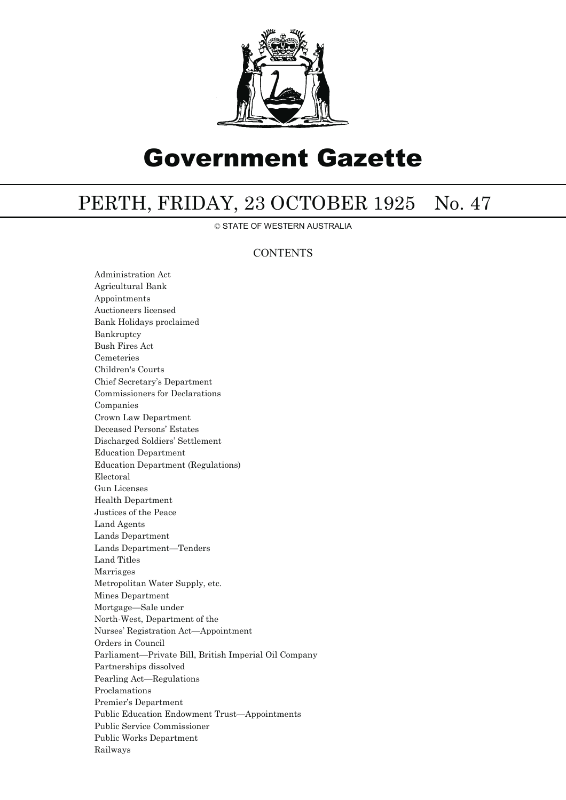

# Government Gazette

# PERTH, FRIDAY, 23 OCTOBER 1925 No. 47

© STATE OF WESTERN AUSTRALIA

## **CONTENTS**

Administration Act Agricultural Bank Appointments Auctioneers licensed Bank Holidays proclaimed Bankruptcy Bush Fires Act Cemeteries Children's Courts Chief Secretary's Department Commissioners for Declarations Companies Crown Law Department Deceased Persons' Estates Discharged Soldiers' Settlement Education Department Education Department (Regulations) Electoral Gun Licenses Health Department Justices of the Peace Land Agents Lands Department Lands Department—Tenders Land Titles Marriages Metropolitan Water Supply, etc. Mines Department Mortgage—Sale under North-West, Department of the Nurses' Registration Act—Appointment Orders in Council Parliament—Private Bill, British Imperial Oil Company Partnerships dissolved Pearling Act—Regulations Proclamations Premier's Department Public Education Endowment Trust—Appointments Public Service Commissioner Public Works Department Railways